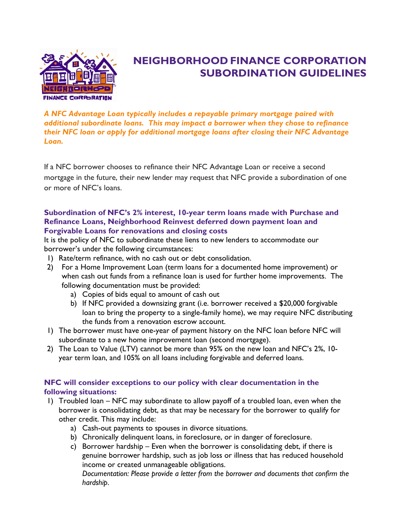

# **NEIGHBORHOOD FINANCE CORPORATION SUBORDINATION GUIDELINES**

*A NFC Advantage Loan typically includes a repayable primary mortgage paired with additional subordinate loans. This may impact a borrower when they chose to refinance their NFC loan or apply for additional mortgage loans after closing their NFC Advantage Loan.*

If a NFC borrower chooses to refinance their NFC Advantage Loan or receive a second mortgage in the future, their new lender may request that NFC provide a subordination of one or more of NFC's loans.

### **Subordination of NFC's 2% interest, 10-year term loans made with Purchase and Refinance Loans, Neighborhood Reinvest deferred down payment loan and Forgivable Loans for renovations and closing costs**

It is the policy of NFC to subordinate these liens to new lenders to accommodate our borrower's under the following circumstances:

- 1) Rate/term refinance, with no cash out or debt consolidation.
- 2) For a Home Improvement Loan (term loans for a documented home improvement) or when cash out funds from a refinance loan is used for further home improvements. The following documentation must be provided:
	- a) Copies of bids equal to amount of cash out
	- b) If NFC provided a downsizing grant (i.e. borrower received a \$20,000 forgivable loan to bring the property to a single-family home), we may require NFC distributing the funds from a renovation escrow account.
- 1) The borrower must have one-year of payment history on the NFC loan before NFC will subordinate to a new home improvement loan (second mortgage).
- 2) The Loan to Value (LTV) cannot be more than 95% on the new loan and NFC's 2%, 10 year term loan, and 105% on all loans including forgivable and deferred loans.

## **NFC will consider exceptions to our policy with clear documentation in the following situations:**

- 1) Troubled loan NFC may subordinate to allow payoff of a troubled loan, even when the borrower is consolidating debt, as that may be necessary for the borrower to qualify for other credit. This may include:
	- a) Cash-out payments to spouses in divorce situations.
	- b) Chronically delinquent loans, in foreclosure, or in danger of foreclosure.
	- c) Borrower hardship Even when the borrower is consolidating debt, if there is genuine borrower hardship, such as job loss or illness that has reduced household income or created unmanageable obligations.

*Documentation: Please provide a letter from the borrower and documents that confirm the hardship*.